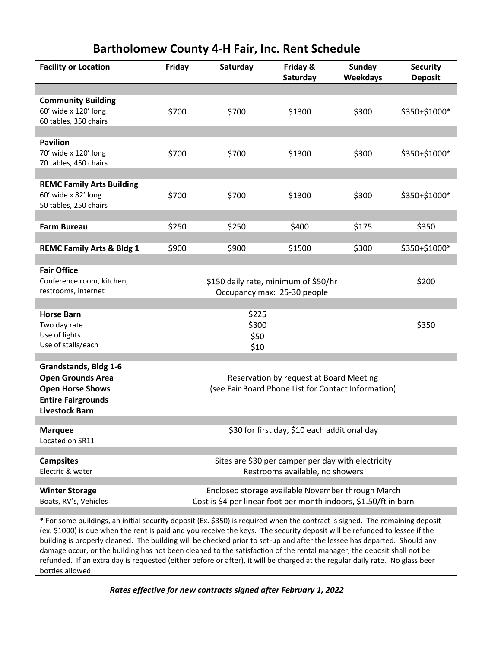| <b>Facility or Location</b>                                                                                                               | Friday                                                                                         | Saturday                                                                                                              | Friday &<br>Saturday | <b>Sunday</b><br>Weekdays | <b>Security</b><br><b>Deposit</b> |  |
|-------------------------------------------------------------------------------------------------------------------------------------------|------------------------------------------------------------------------------------------------|-----------------------------------------------------------------------------------------------------------------------|----------------------|---------------------------|-----------------------------------|--|
|                                                                                                                                           |                                                                                                |                                                                                                                       |                      |                           |                                   |  |
| <b>Community Building</b><br>60' wide x 120' long<br>60 tables, 350 chairs                                                                | \$700                                                                                          | \$700                                                                                                                 | \$1300               | \$300                     | \$350+\$1000*                     |  |
| <b>Pavilion</b><br>70' wide x 120' long<br>70 tables, 450 chairs                                                                          | \$700                                                                                          | \$700                                                                                                                 | \$1300               | \$300                     | \$350+\$1000*                     |  |
| <b>REMC Family Arts Building</b><br>60' wide x 82' long<br>50 tables, 250 chairs                                                          | \$700                                                                                          | \$700                                                                                                                 | \$1300               | \$300                     | \$350+\$1000*                     |  |
| <b>Farm Bureau</b>                                                                                                                        | \$250                                                                                          | \$250                                                                                                                 | \$400                | \$175                     | \$350                             |  |
| <b>REMC Family Arts &amp; Bldg 1</b>                                                                                                      | \$900                                                                                          | \$900                                                                                                                 | \$1500               | \$300                     | \$350+\$1000*                     |  |
| <b>Fair Office</b><br>Conference room, kitchen,<br>restrooms, internet                                                                    |                                                                                                | \$150 daily rate, minimum of \$50/hr<br>Occupancy max: 25-30 people                                                   |                      |                           |                                   |  |
| <b>Horse Barn</b><br>Two day rate<br>Use of lights<br>Use of stalls/each                                                                  |                                                                                                | \$225<br>\$300<br>\$50<br>\$10                                                                                        |                      |                           | \$350                             |  |
| <b>Grandstands, Bldg 1-6</b><br><b>Open Grounds Area</b><br><b>Open Horse Shows</b><br><b>Entire Fairgrounds</b><br><b>Livestock Barn</b> | Reservation by request at Board Meeting<br>(see Fair Board Phone List for Contact Information) |                                                                                                                       |                      |                           |                                   |  |
| <b>Marquee</b><br>Located on SR11                                                                                                         |                                                                                                | \$30 for first day, \$10 each additional day                                                                          |                      |                           |                                   |  |
| <b>Campsites</b><br>Electric & water                                                                                                      |                                                                                                | Sites are \$30 per camper per day with electricity<br>Restrooms available, no showers                                 |                      |                           |                                   |  |
| <b>Winter Storage</b><br>Boats, RV's, Vehicles                                                                                            |                                                                                                | Enclosed storage available November through March<br>Cost is \$4 per linear foot per month indoors, \$1.50/ft in barn |                      |                           |                                   |  |

**Bartholomew County 4-H Fair, Inc. Rent Schedule**

\* For some buildings, an initial security deposit (Ex. \$350) is required when the contract is signed. The remaining deposit (ex. \$1000) is due when the rent is paid and you receive the keys. The security deposit will be refunded to lessee if the building is properly cleaned. The building will be checked prior to set-up and after the lessee has departed. Should any damage occur, or the building has not been cleaned to the satisfaction of the rental manager, the deposit shall not be refunded. If an extra day is requested (either before or after), it will be charged at the regular daily rate. No glass beer bottles allowed.

*Rates effective for new contracts signed after February 1, 2022*